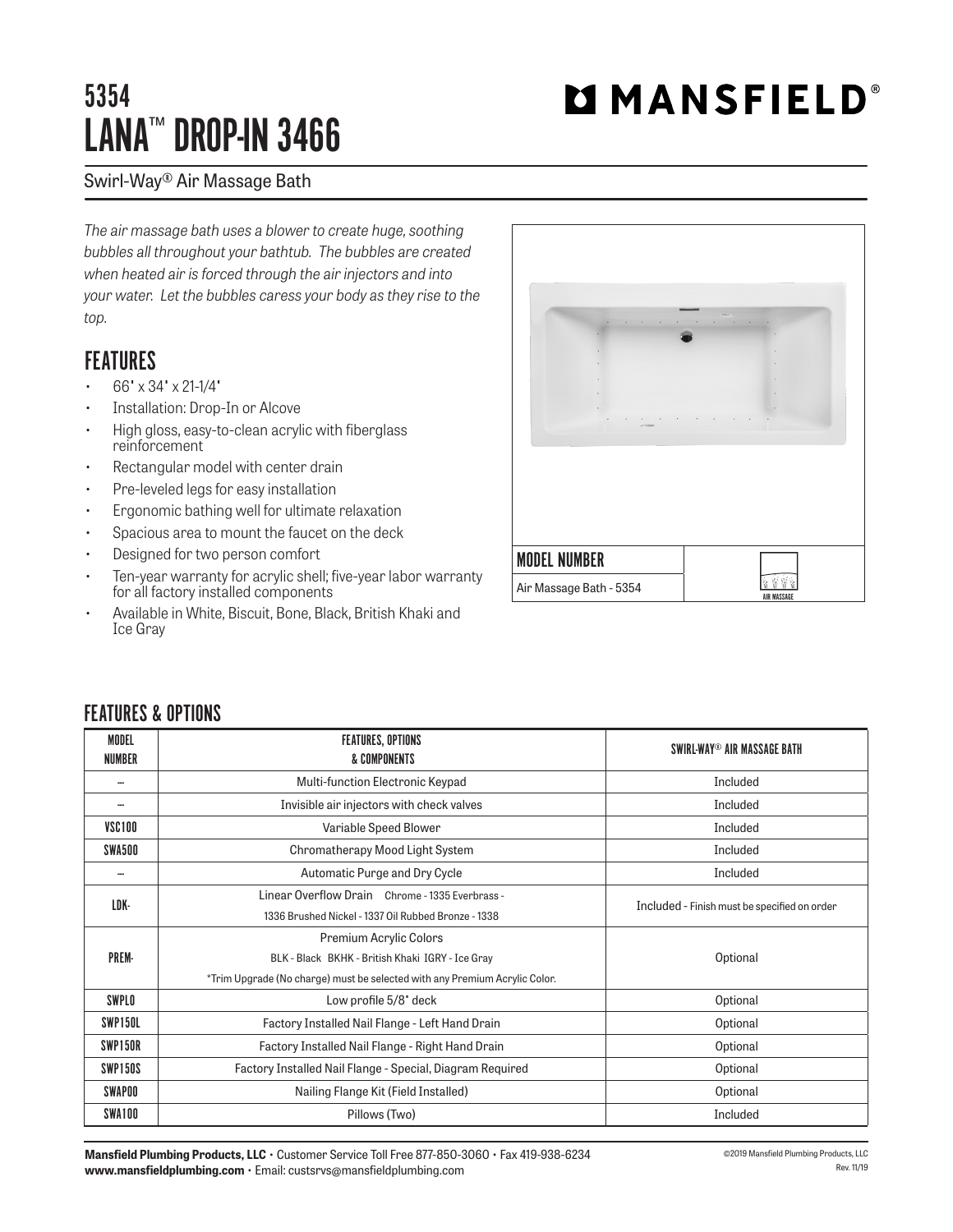## 5354 LANA™ DROP-IN 3466

# **MMANSFIELD®**

#### Swirl-Way® Air Massage Bath

*The air massage bath uses a blower to create huge, soothing bubbles all throughout your bathtub. The bubbles are created when heated air is forced through the air injectors and into your water. Let the bubbles caress your body as they rise to the top.*

### **FFATIIRFS**

- 66" x 34" x 21-1/4"
- Installation: Drop-In or Alcove
- High gloss, easy-to-clean acrylic with fiberglass reinforcement
- Rectangular model with center drain
- Pre-leveled legs for easy installation
- Ergonomic bathing well for ultimate relaxation
- Spacious area to mount the faucet on the deck
- Designed for two person comfort
- Ten-year warranty for acrylic shell; five-year labor warranty for all factory installed components
- Available in White, Biscuit, Bone, Black, British Khaki and Ice Gray



#### FEATURES & OPTIONS

| <b>MODEL</b><br><b>NUMBER</b> | <b>FEATURES, OPTIONS</b><br>& COMPONENTS                                   | SWIRL-WAY® AIR MASSAGE BATH                  |  |  |
|-------------------------------|----------------------------------------------------------------------------|----------------------------------------------|--|--|
| ---                           | Multi-function Electronic Keypad                                           | Included                                     |  |  |
| --                            | Invisible air injectors with check valves                                  | Included                                     |  |  |
| VSC100                        | Variable Speed Blower                                                      | Included                                     |  |  |
| SWA500                        | Chromatherapy Mood Light System                                            | Included                                     |  |  |
| --                            | Automatic Purge and Dry Cycle                                              | Included                                     |  |  |
| LDK-                          | Linear Overflow Drain Chrome - 1335 Everbrass -                            | Included - Finish must be specified on order |  |  |
|                               | 1336 Brushed Nickel - 1337 Oil Rubbed Bronze - 1338                        |                                              |  |  |
|                               | <b>Premium Acrylic Colors</b>                                              | Optional                                     |  |  |
| PREM-                         | BLK - Black BKHK - British Khaki IGRY - Ice Gray                           |                                              |  |  |
|                               | *Trim Upgrade (No charge) must be selected with any Premium Acrylic Color. |                                              |  |  |
| SWPLO                         | Low profile 5/8" deck                                                      | Optional                                     |  |  |
| SWP150L                       | Factory Installed Nail Flange - Left Hand Drain                            | Optional                                     |  |  |
| SWP150R                       | Factory Installed Nail Flange - Right Hand Drain                           | Optional                                     |  |  |
| SWP150S                       | Factory Installed Nail Flange - Special, Diagram Required                  | Optional                                     |  |  |
| SWAPOO                        | Nailing Flange Kit (Field Installed)                                       | Optional                                     |  |  |
| SWA100                        | Pillows (Two)                                                              | Included                                     |  |  |

**Mansfield Plumbing Products, LLC** • Customer Service Toll Free 877-850-3060 • Fax 419-938-6234 **www.mansfieldplumbing.com** • Email: custsrvs@mansfieldplumbing.com